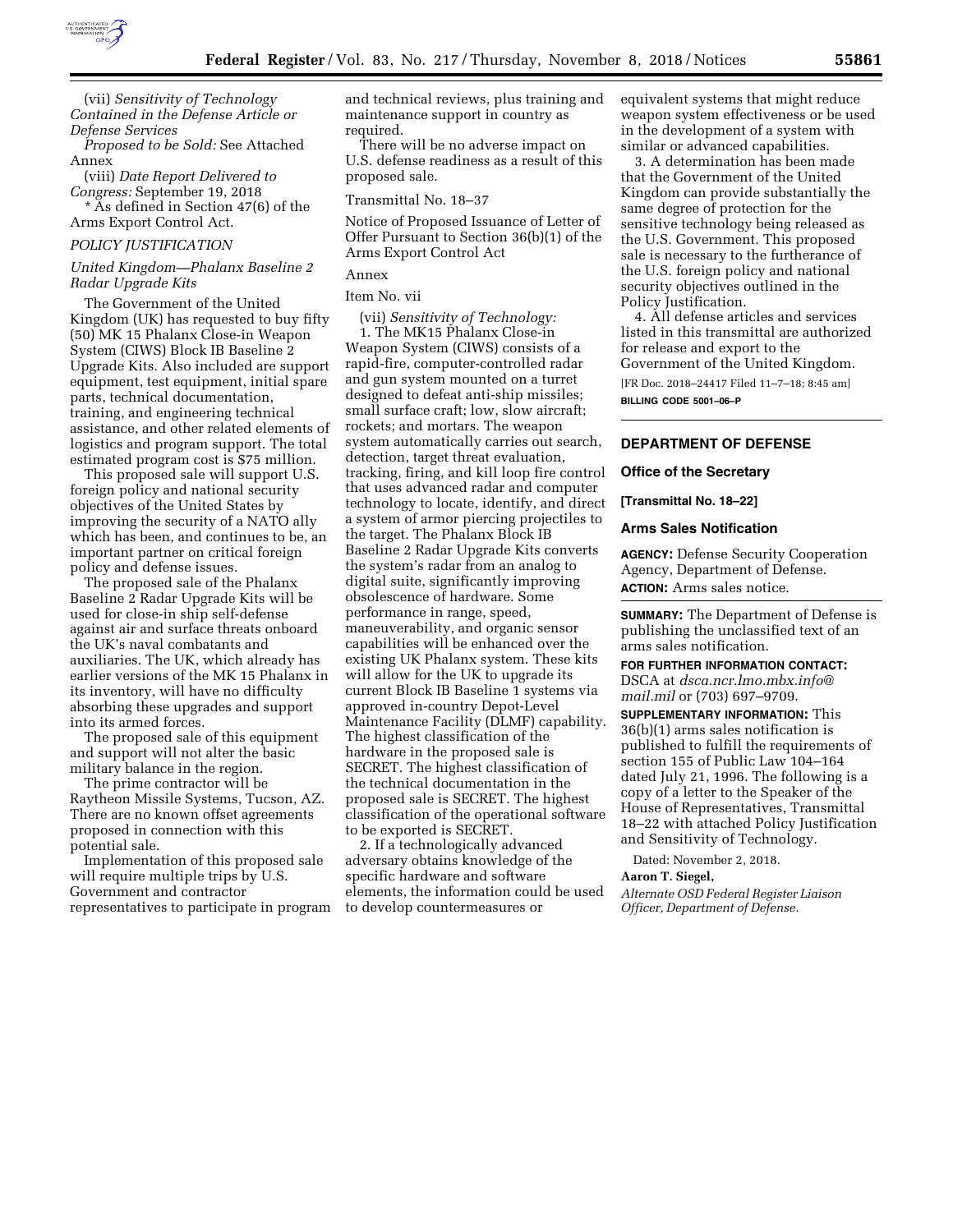

(vii) *Sensitivity of Technology Contained in the Defense Article or Defense Services* 

*Proposed to be Sold:* See Attached Annex

(viii) *Date Report Delivered to Congress:* September 19, 2018 \* As defined in Section 47(6) of the Arms Export Control Act.

#### *POLICY JUSTIFICATION*

## *United Kingdom—Phalanx Baseline 2 Radar Upgrade Kits*

The Government of the United Kingdom (UK) has requested to buy fifty (50) MK 15 Phalanx Close-in Weapon System (CIWS) Block IB Baseline 2 Upgrade Kits. Also included are support equipment, test equipment, initial spare parts, technical documentation, training, and engineering technical assistance, and other related elements of logistics and program support. The total estimated program cost is \$75 million.

This proposed sale will support U.S. foreign policy and national security objectives of the United States by improving the security of a NATO ally which has been, and continues to be, an important partner on critical foreign policy and defense issues.

The proposed sale of the Phalanx Baseline 2 Radar Upgrade Kits will be used for close-in ship self-defense against air and surface threats onboard the UK's naval combatants and auxiliaries. The UK, which already has earlier versions of the MK 15 Phalanx in its inventory, will have no difficulty absorbing these upgrades and support into its armed forces.

The proposed sale of this equipment and support will not alter the basic military balance in the region.

The prime contractor will be Raytheon Missile Systems, Tucson, AZ. There are no known offset agreements proposed in connection with this potential sale.

Implementation of this proposed sale will require multiple trips by U.S. Government and contractor representatives to participate in program and technical reviews, plus training and maintenance support in country as required.

There will be no adverse impact on U.S. defense readiness as a result of this proposed sale.

#### Transmittal No. 18–37

Notice of Proposed Issuance of Letter of Offer Pursuant to Section 36(b)(1) of the Arms Export Control Act

# Annex

Item No. vii

(vii) *Sensitivity of Technology:* 

1. The MK15 Phalanx Close-in Weapon System (CIWS) consists of a rapid-fire, computer-controlled radar and gun system mounted on a turret designed to defeat anti-ship missiles; small surface craft; low, slow aircraft; rockets; and mortars. The weapon system automatically carries out search, detection, target threat evaluation, tracking, firing, and kill loop fire control that uses advanced radar and computer technology to locate, identify, and direct a system of armor piercing projectiles to the target. The Phalanx Block IB Baseline 2 Radar Upgrade Kits converts the system's radar from an analog to digital suite, significantly improving obsolescence of hardware. Some performance in range, speed, maneuverability, and organic sensor capabilities will be enhanced over the existing UK Phalanx system. These kits will allow for the UK to upgrade its current Block IB Baseline 1 systems via approved in-country Depot-Level Maintenance Facility (DLMF) capability. The highest classification of the hardware in the proposed sale is SECRET. The highest classification of the technical documentation in the proposed sale is SECRET. The highest classification of the operational software to be exported is SECRET.

2. If a technologically advanced adversary obtains knowledge of the specific hardware and software elements, the information could be used to develop countermeasures or

equivalent systems that might reduce weapon system effectiveness or be used in the development of a system with similar or advanced capabilities.

3. A determination has been made that the Government of the United Kingdom can provide substantially the same degree of protection for the sensitive technology being released as the U.S. Government. This proposed sale is necessary to the furtherance of the U.S. foreign policy and national security objectives outlined in the Policy Justification.

4. All defense articles and services listed in this transmittal are authorized for release and export to the Government of the United Kingdom.

[FR Doc. 2018–24417 Filed 11–7–18; 8:45 am] **BILLING CODE 5001–06–P** 

## **DEPARTMENT OF DEFENSE**

### **Office of the Secretary**

#### **[Transmittal No. 18–22]**

## **Arms Sales Notification**

**AGENCY:** Defense Security Cooperation Agency, Department of Defense. **ACTION:** Arms sales notice.

**SUMMARY:** The Department of Defense is publishing the unclassified text of an arms sales notification.

**FOR FURTHER INFORMATION CONTACT:**  DSCA at *[dsca.ncr.lmo.mbx.info@](mailto:dsca.ncr.lmo.mbx.info@mail.mil) [mail.mil](mailto:dsca.ncr.lmo.mbx.info@mail.mil)* or (703) 697–9709.

**SUPPLEMENTARY INFORMATION:** This 36(b)(1) arms sales notification is published to fulfill the requirements of section 155 of Public Law 104–164 dated July 21, 1996. The following is a copy of a letter to the Speaker of the House of Representatives, Transmittal 18–22 with attached Policy Justification and Sensitivity of Technology.

Dated: November 2, 2018.

#### **Aaron T. Siegel,**

*Alternate OSD Federal Register Liaison Officer, Department of Defense.*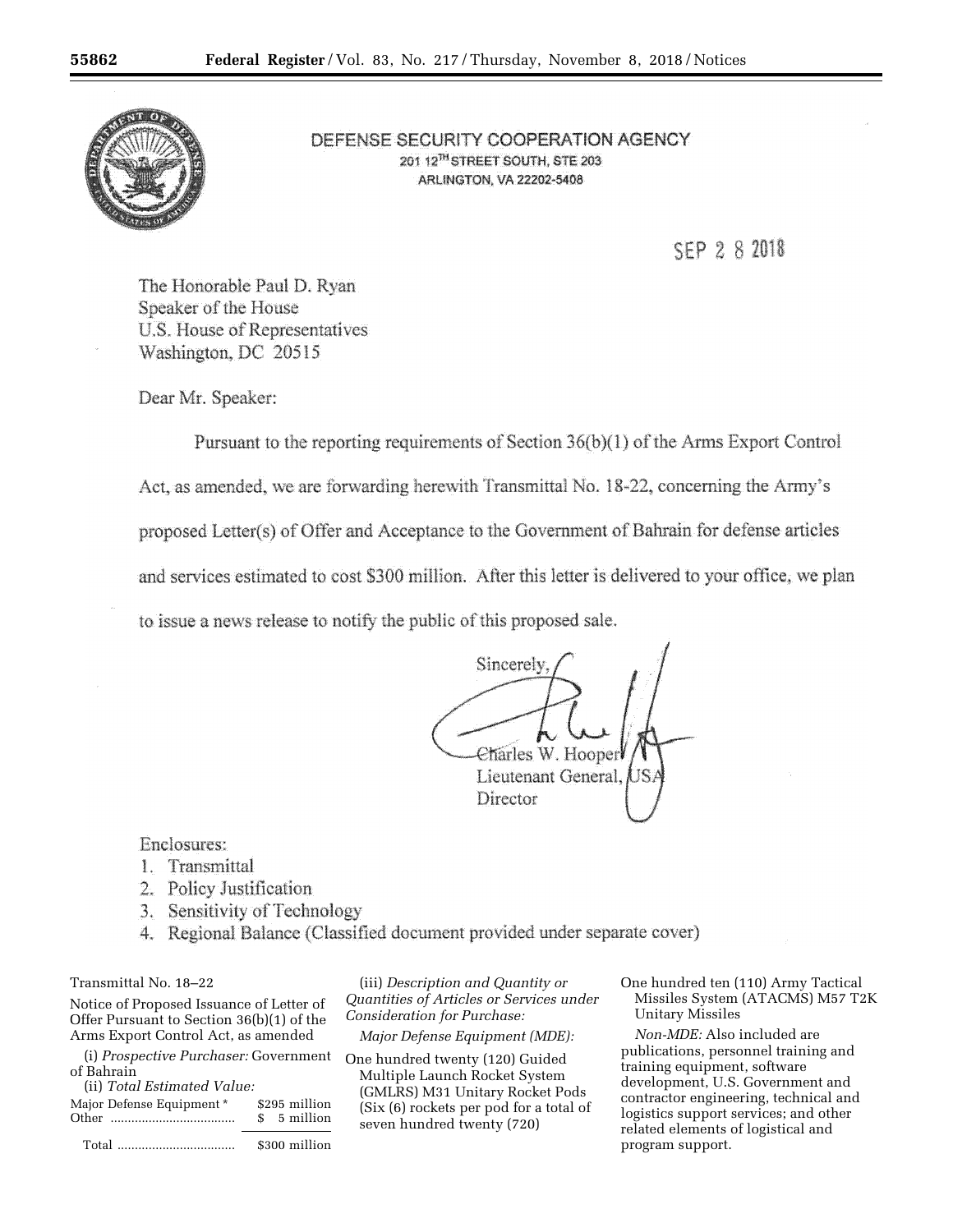

# DEFENSE SECURITY COOPERATION AGENCY 201 12<sup>7H</sup> STREET SOUTH, STE 203 **ARLINGTON, VA 22202-5408**

SEP 2 8 2018

The Honorable Paul D. Ryan Speaker of the House U.S. House of Representatives Washington, DC 20515

Dear Mr. Speaker:

Pursuant to the reporting requirements of Section 36(b)(1) of the Arms Export Control

Act, as amended, we are forwarding herewith Transmittal No. 18-22, concerning the Army's

proposed Letter(s) of Offer and Acceptance to the Government of Bahrain for defense articles

and services estimated to cost \$300 million. After this letter is delivered to your office, we plan

to issue a news release to notify the public of this proposed sale.

Sincerely Charles W. Hooper Lieutenant General, Director

Enclosures:

- 1. Transmittal
- 2. Policy Justification
- 3. Sensitivity of Technology
- 4. Regional Balance (Classified document provided under separate cover)

# Transmittal No. 18–22

Notice of Proposed Issuance of Letter of Offer Pursuant to Section 36(b)(1) of the Arms Export Control Act, as amended

(i) *Prospective Purchaser:* Government One hundred twenty (120) Guided of Bahrain

(ii) *Total Estimated Value:* 

| Major Defense Equipment * | \$295 million |
|---------------------------|---------------|
|                           | \$ 5 million  |
|                           | \$300 million |

(iii) *Description and Quantity or Quantities of Articles or Services under Consideration for Purchase:* 

*Major Defense Equipment (MDE):* 

Multiple Launch Rocket System (GMLRS) M31 Unitary Rocket Pods (Six (6) rockets per pod for a total of seven hundred twenty (720)

One hundred ten (110) Army Tactical Missiles System (ATACMS) M57 T2K Unitary Missiles

*Non-MDE:* Also included are publications, personnel training and training equipment, software development, U.S. Government and contractor engineering, technical and logistics support services; and other related elements of logistical and program support.